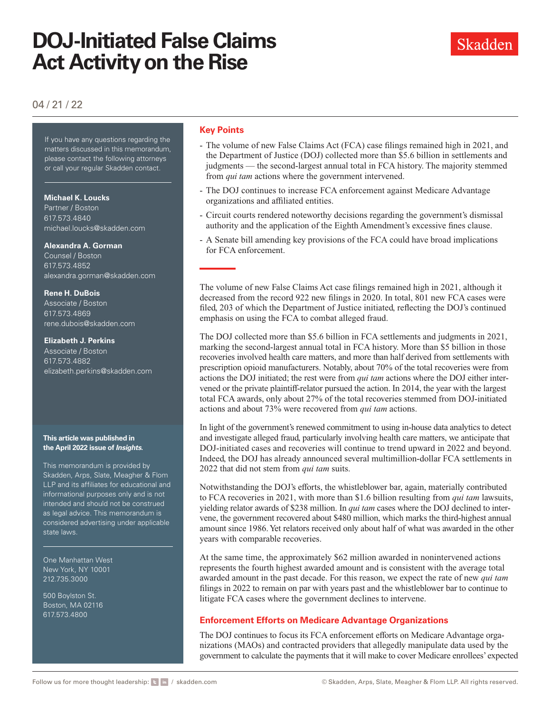# **DOJ-Initiated False Claims Act Activity on the Rise**

# 04 / 21 / 22

If you have any questions regarding the matters discussed in this memorandum, please contact the following attorneys or call your regular Skadden contact.

**Michael K. Loucks** 

Partner / Boston 617.573.4840 [michael.loucks@skadden.com](mailto:michael.loucks@skadden.com
)

**Alexandra A. Gorman**

Counsel / Boston 617.573.4852 [alexandra.gorman@skadden.com](mailto:alexandra.gorman@skadden.com
)

### **Rene H. DuBois**

Associate / Boston 617.573.4869 [rene.dubois@skadden.com](mailto:rene.dubois@skadden.com
)

### **Elizabeth J. Perkins**

Associate / Boston 617.573.4882 [elizabeth.perkins@skadden.com](mailto:elizabeth.perkins@skadden.com)

#### **This article was published in the April 2022 issue of** *Insights***.**

This memorandum is provided by Skadden, Arps, Slate, Meagher & Flom LLP and its affiliates for educational and informational purposes only and is not intended and should not be construed as legal advice. This memorandum is considered advertising under applicable state laws.

One Manhattan West New York, NY 10001 212.735.3000

500 Boylston St. Boston, MA 02116 617.573.4800

## **Key Points**

- The volume of new False Claims Act (FCA) case filings remained high in 2021, and the Department of Justice (DOJ) collected more than \$5.6 billion in settlements and judgments — the second-largest annual total in FCA history. The majority stemmed from *qui tam* actions where the government intervened.
- The DOJ continues to increase FCA enforcement against Medicare Advantage organizations and affiliated entities.
- Circuit courts rendered noteworthy decisions regarding the government's dismissal authority and the application of the Eighth Amendment's excessive fines clause.
- A Senate bill amending key provisions of the FCA could have broad implications for FCA enforcement.

The volume of new False Claims Act case filings remained high in 2021, although it decreased from the record 922 new filings in 2020. In total, 801 new FCA cases were filed, 203 of which the Department of Justice initiated, reflecting the DOJ's continued emphasis on using the FCA to combat alleged fraud.

The DOJ collected more than \$5.6 billion in FCA settlements and judgments in 2021, marking the second-largest annual total in FCA history. More than \$5 billion in those recoveries involved health care matters, and more than half derived from settlements with prescription opioid manufacturers. Notably, about 70% of the total recoveries were from actions the DOJ initiated; the rest were from *qui tam* actions where the DOJ either intervened or the private plaintiff-relator pursued the action. In 2014, the year with the largest total FCA awards, only about 27% of the total recoveries stemmed from DOJ-initiated actions and about 73% were recovered from *qui tam* actions.

In light of the government's renewed commitment to using in-house data analytics to detect and investigate alleged fraud, particularly involving health care matters, we anticipate that DOJ-initiated cases and recoveries will continue to trend upward in 2022 and beyond. Indeed, the DOJ has already announced several multimillion-dollar FCA settlements in 2022 that did not stem from *qui tam* suits.

Notwithstanding the DOJ's efforts, the whistleblower bar, again, materially contributed to FCA recoveries in 2021, with more than \$1.6 billion resulting from *qui tam* lawsuits, yielding relator awards of \$238 million. In *qui tam* cases where the DOJ declined to intervene, the government recovered about \$480 million, which marks the third-highest annual amount since 1986. Yet relators received only about half of what was awarded in the other years with comparable recoveries.

At the same time, the approximately \$62 million awarded in nonintervened actions represents the fourth highest awarded amount and is consistent with the average total awarded amount in the past decade. For this reason, we expect the rate of new *qui tam* filings in 2022 to remain on par with years past and the whistleblower bar to continue to litigate FCA cases where the government declines to intervene.

# **Enforcement Efforts on Medicare Advantage Organizations**

The DOJ continues to focus its FCA enforcement efforts on Medicare Advantage organizations (MAOs) and contracted providers that allegedly manipulate data used by the government to calculate the payments that it will make to cover Medicare enrollees' expected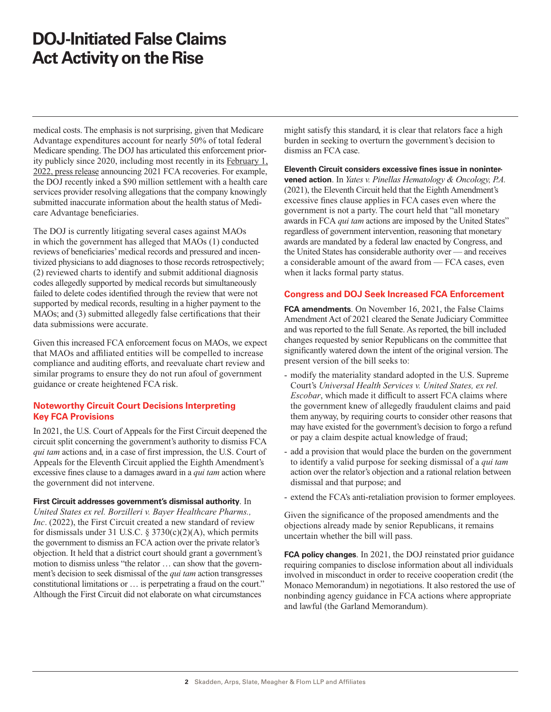# **DOJ-Initiated False Claims Act Activity on the Rise**

medical costs. The emphasis is not surprising, given that Medicare Advantage expenditures account for nearly 50% of total federal Medicare spending. The DOJ has articulated this enforcement priority publicly since 2020, including most recently in its [February 1,](https://www.justice.gov/opa/pr/justice-department-s-false-claims-act-settlements-and-judgments-exceed-56-billion-fiscal-year)  [2022, press release](https://www.justice.gov/opa/pr/justice-department-s-false-claims-act-settlements-and-judgments-exceed-56-billion-fiscal-year) announcing 2021 FCA recoveries. For example, the DOJ recently inked a \$90 million settlement with a health care services provider resolving allegations that the company knowingly submitted inaccurate information about the health status of Medicare Advantage beneficiaries.

The DOJ is currently litigating several cases against MAOs in which the government has alleged that MAOs (1) conducted reviews of beneficiaries' medical records and pressured and incentivized physicians to add diagnoses to those records retrospectively; (2) reviewed charts to identify and submit additional diagnosis codes allegedly supported by medical records but simultaneously failed to delete codes identified through the review that were not supported by medical records, resulting in a higher payment to the MAOs; and (3) submitted allegedly false certifications that their data submissions were accurate.

Given this increased FCA enforcement focus on MAOs, we expect that MAOs and affiliated entities will be compelled to increase compliance and auditing efforts, and reevaluate chart review and similar programs to ensure they do not run afoul of government guidance or create heightened FCA risk.

# **Noteworthy Circuit Court Decisions Interpreting Key FCA Provisions**

In 2021, the U.S. Court of Appeals for the First Circuit deepened the circuit split concerning the government's authority to dismiss FCA *qui tam* actions and, in a case of first impression, the U.S. Court of Appeals for the Eleventh Circuit applied the Eighth Amendment's excessive fines clause to a damages award in a *qui tam* action where the government did not intervene.

### **First Circuit addresses government's dismissal authority**. In

*United States ex rel. Borzilleri v. Bayer Healthcare Pharms., Inc*. (2022), the First Circuit created a new standard of review for dismissals under 31 U.S.C.  $\S 3730(c)(2)(A)$ , which permits the government to dismiss an FCA action over the private relator's objection. It held that a district court should grant a government's motion to dismiss unless "the relator … can show that the government's decision to seek dismissal of the *qui tam* action transgresses constitutional limitations or … is perpetrating a fraud on the court." Although the First Circuit did not elaborate on what circumstances

might satisfy this standard, it is clear that relators face a high burden in seeking to overturn the government's decision to dismiss an FCA case.

### **Eleventh Circuit considers excessive fines issue in nonintervened action**. In *Yates v. Pinellas Hematology & Oncology, P.A.*

(2021), the Eleventh Circuit held that the Eighth Amendment's excessive fines clause applies in FCA cases even where the government is not a party. The court held that "all monetary awards in FCA *qui tam* actions are imposed by the United States" regardless of government intervention, reasoning that monetary awards are mandated by a federal law enacted by Congress, and the United States has considerable authority over — and receives a considerable amount of the award from — FCA cases, even when it lacks formal party status.

### **Congress and DOJ Seek Increased FCA Enforcement**

**FCA amendments**. On November 16, 2021, the False Claims Amendment Act of 2021 cleared the Senate Judiciary Committee and was reported to the full Senate. As reported, the bill included changes requested by senior Republicans on the committee that significantly watered down the intent of the original version. The present version of the bill seeks to:

- modify the materiality standard adopted in the U.S. Supreme Court's *Universal Health Services v. United States, ex rel. Escobar*, which made it difficult to assert FCA claims where the government knew of allegedly fraudulent claims and paid them anyway, by requiring courts to consider other reasons that may have existed for the government's decision to forgo a refund or pay a claim despite actual knowledge of fraud;
- add a provision that would place the burden on the government to identify a valid purpose for seeking dismissal of a *qui tam* action over the relator's objection and a rational relation between dismissal and that purpose; and
- extend the FCA's anti-retaliation provision to former employees.

Given the significance of the proposed amendments and the objections already made by senior Republicans, it remains uncertain whether the bill will pass.

**FCA policy changes**. In 2021, the DOJ reinstated prior guidance requiring companies to disclose information about all individuals involved in misconduct in order to receive cooperation credit (the Monaco Memorandum) in negotiations. It also restored the use of nonbinding agency guidance in FCA actions where appropriate and lawful (the Garland Memorandum).